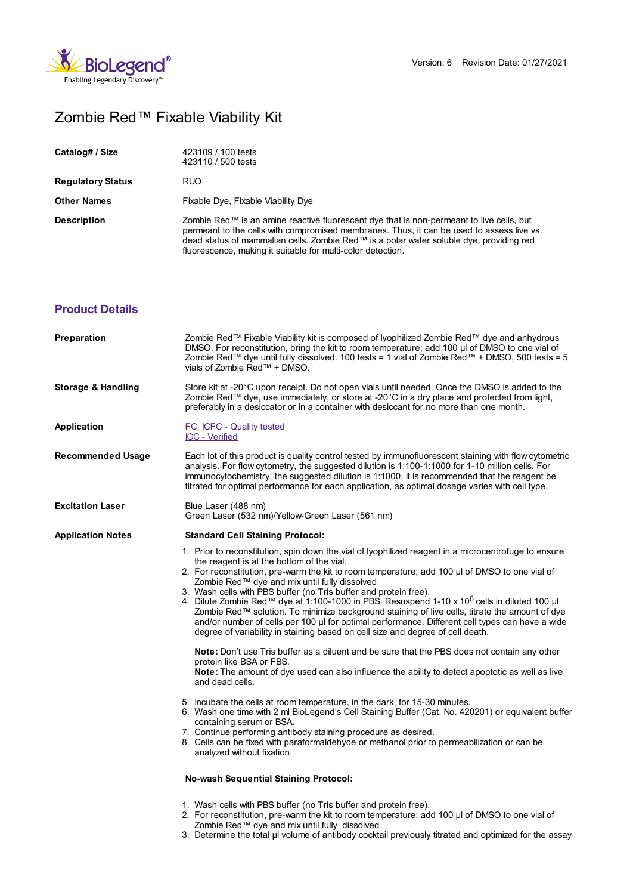

## Zombie Red™ Fixable Viability Kit

| Catalog# / Size          | 423109 / 100 tests<br>423110 / 500 tests                                                                                                                                                                                                                                                                                                        |  |
|--------------------------|-------------------------------------------------------------------------------------------------------------------------------------------------------------------------------------------------------------------------------------------------------------------------------------------------------------------------------------------------|--|
| <b>Regulatory Status</b> | <b>RUO</b>                                                                                                                                                                                                                                                                                                                                      |  |
| <b>Other Names</b>       | Fixable Dye, Fixable Viability Dye                                                                                                                                                                                                                                                                                                              |  |
| <b>Description</b>       | Zombie Red™ is an amine reactive fluorescent dye that is non-permeant to live cells, but<br>permeant to the cells with compromised membranes. Thus, it can be used to assess live vs.<br>dead status of mammalian cells. Zombie Red™ is a polar water soluble dye, providing red<br>fluorescence, making it suitable for multi-color detection. |  |

## **[Product](https://www.biolegend.com/en-gb/products/zombie-red-fixable-viability-kit-9338?pdf=true&displayInline=true&leftRightMargin=15&topBottomMargin=15&filename=Zombie Red%EF%BF%BD%EF%BF%BD%EF%BF%BD Fixable Viability Kit.pdf#productDetails) Details**

| Preparation                   | Zombie Red™ Fixable Viability kit is composed of lyophilized Zombie Red™ dye and anhydrous<br>DMSO. For reconstitution, bring the kit to room temperature; add 100 µl of DMSO to one vial of<br>Zombie Red™ dye until fully dissolved. 100 tests = 1 vial of Zombie Red™ + DMSO, 500 tests = 5<br>vials of Zombie Red™ + DMSO.                                                                                                                                                                                                                                                                                                                                                                                                                                              |  |
|-------------------------------|-----------------------------------------------------------------------------------------------------------------------------------------------------------------------------------------------------------------------------------------------------------------------------------------------------------------------------------------------------------------------------------------------------------------------------------------------------------------------------------------------------------------------------------------------------------------------------------------------------------------------------------------------------------------------------------------------------------------------------------------------------------------------------|--|
| <b>Storage &amp; Handling</b> | Store kit at -20°C upon receipt. Do not open vials until needed. Once the DMSO is added to the<br>Zombie Red™ dye, use immediately, or store at -20°C in a dry place and protected from light,<br>preferably in a desiccator or in a container with desiccant for no more than one month.                                                                                                                                                                                                                                                                                                                                                                                                                                                                                   |  |
| <b>Application</b>            | FC, ICFC - Quality tested<br>ICC - Verified                                                                                                                                                                                                                                                                                                                                                                                                                                                                                                                                                                                                                                                                                                                                 |  |
| Recommended Usage             | Each lot of this product is quality control tested by immunofluorescent staining with flow cytometric<br>analysis. For flow cytometry, the suggested dilution is 1:100-1:1000 for 1-10 million cells. For<br>immunocytochemistry, the suggested dilution is 1:1000. It is recommended that the reagent be<br>titrated for optimal performance for each application, as optimal dosage varies with cell type.                                                                                                                                                                                                                                                                                                                                                                |  |
| <b>Excitation Laser</b>       | Blue Laser (488 nm)<br>Green Laser (532 nm)/Yellow-Green Laser (561 nm)                                                                                                                                                                                                                                                                                                                                                                                                                                                                                                                                                                                                                                                                                                     |  |
| <b>Application Notes</b>      | <b>Standard Cell Staining Protocol:</b>                                                                                                                                                                                                                                                                                                                                                                                                                                                                                                                                                                                                                                                                                                                                     |  |
|                               | 1. Prior to reconstitution, spin down the vial of lyophilized reagent in a microcentrofuge to ensure<br>the reagent is at the bottom of the vial.<br>2. For reconstitution, pre-warm the kit to room temperature; add 100 µl of DMSO to one vial of<br>Zombie Red™ dye and mix until fully dissolved<br>3. Wash cells with PBS buffer (no Tris buffer and protein free).<br>4. Dilute Zombie Red™ dye at 1:100-1000 in PBS. Resuspend 1-10 x 10 <sup>6</sup> cells in diluted 100 µl<br>Zombie Red™ solution. To minimize background staining of live cells, titrate the amount of dye<br>and/or number of cells per 100 µl for optimal performance. Different cell types can have a wide<br>degree of variability in staining based on cell size and degree of cell death. |  |
|                               | Note: Don't use Tris buffer as a diluent and be sure that the PBS does not contain any other<br>protein like BSA or FBS.<br>Note: The amount of dye used can also influence the ability to detect apoptotic as well as live<br>and dead cells.                                                                                                                                                                                                                                                                                                                                                                                                                                                                                                                              |  |
|                               | 5. Incubate the cells at room temperature, in the dark, for 15-30 minutes.<br>6. Wash one time with 2 ml BioLegend's Cell Staining Buffer (Cat. No. 420201) or equivalent buffer<br>containing serum or BSA.<br>7. Continue performing antibody staining procedure as desired.<br>8. Cells can be fixed with paraformaldehyde or methanol prior to permeabilization or can be<br>analyzed without fixation.                                                                                                                                                                                                                                                                                                                                                                 |  |
|                               | <b>No-wash Sequential Staining Protocol:</b>                                                                                                                                                                                                                                                                                                                                                                                                                                                                                                                                                                                                                                                                                                                                |  |
|                               | 1. Wash cells with PBS buffer (no Tris buffer and protein free).<br>2. For reconstitution, pre-warm the kit to room temperature; add 100 µl of DMSO to one vial of                                                                                                                                                                                                                                                                                                                                                                                                                                                                                                                                                                                                          |  |

Zombie Red™ dye and mix until fully dissolved 3. Determine the total µl volume of antibody cocktail previously titrated and optimized for the assay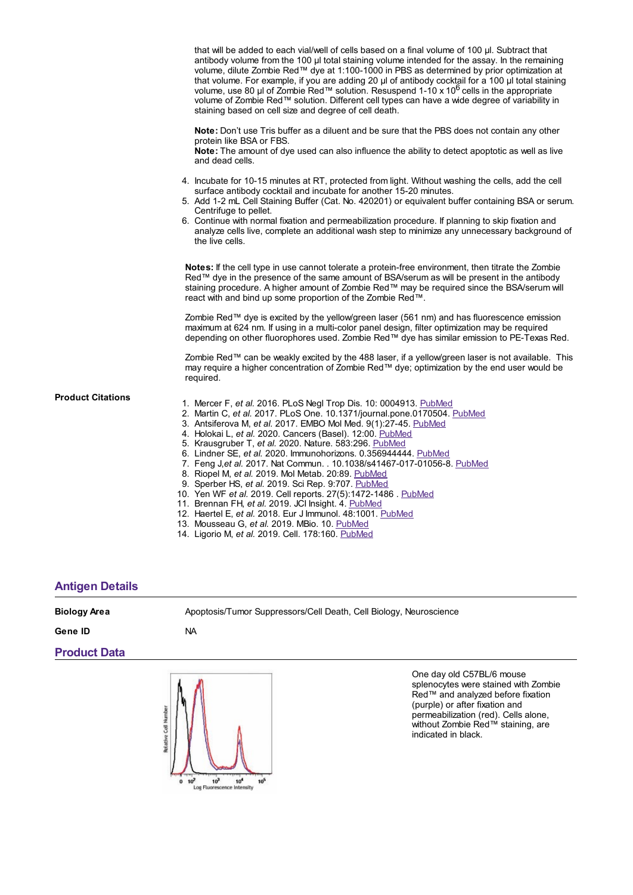|                          | that will be added to each vial/well of cells based on a final volume of 100 µl. Subtract that<br>antibody volume from the 100 µl total staining volume intended for the assay. In the remaining<br>volume, dilute Zombie Red™ dye at 1:100-1000 in PBS as determined by prior optimization at<br>that volume. For example, if you are adding 20 µl of antibody cocktail for a 100 µl total staining<br>volume, use 80 µl of Zombie Red™ solution. Resuspend 1-10 x 10 <sup>6</sup> cells in the appropriate<br>volume of Zombie Red™ solution. Different cell types can have a wide degree of variability in<br>staining based on cell size and degree of cell death.                                                     |
|--------------------------|----------------------------------------------------------------------------------------------------------------------------------------------------------------------------------------------------------------------------------------------------------------------------------------------------------------------------------------------------------------------------------------------------------------------------------------------------------------------------------------------------------------------------------------------------------------------------------------------------------------------------------------------------------------------------------------------------------------------------|
|                          | <b>Note:</b> Don't use Tris buffer as a diluent and be sure that the PBS does not contain any other<br>protein like BSA or FBS.<br><b>Note:</b> The amount of dye used can also influence the ability to detect apoptotic as well as live<br>and dead cells.                                                                                                                                                                                                                                                                                                                                                                                                                                                               |
|                          | 4. Incubate for 10-15 minutes at RT, protected from light. Without washing the cells, add the cell<br>surface antibody cocktail and incubate for another 15-20 minutes.<br>5. Add 1-2 mL Cell Staining Buffer (Cat. No. 420201) or equivalent buffer containing BSA or serum.<br>Centrifuge to pellet.<br>6. Continue with normal fixation and permeabilization procedure. If planning to skip fixation and<br>analyze cells live, complete an additional wash step to minimize any unnecessary background of<br>the live cells.                                                                                                                                                                                           |
|                          | Notes: If the cell type in use cannot tolerate a protein-free environment, then titrate the Zombie<br>Red™ dye in the presence of the same amount of BSA/serum as will be present in the antibody<br>staining procedure. A higher amount of Zombie Red™ may be required since the BSA/serum will<br>react with and bind up some proportion of the Zombie Red™.                                                                                                                                                                                                                                                                                                                                                             |
|                          | Zombie Red™ dye is excited by the yellow/green laser (561 nm) and has fluorescence emission<br>maximum at 624 nm. If using in a multi-color panel design, filter optimization may be required<br>depending on other fluorophores used. Zombie Red™ dye has similar emission to PE-Texas Red.                                                                                                                                                                                                                                                                                                                                                                                                                               |
|                          | Zombie Red™ can be weakly excited by the 488 laser, if a yellow/green laser is not available. This<br>may require a higher concentration of Zombie Red™ dye; optimization by the end user would be<br>required.                                                                                                                                                                                                                                                                                                                                                                                                                                                                                                            |
| <b>Product Citations</b> | 1. Mercer F, et al. 2016. PLoS Negl Trop Dis. 10: 0004913. PubMed<br>2. Martin C, et al. 2017. PLoS One. 10.1371/journal.pone.0170504. PubMed<br>3. Antsiferova M, et al. 2017. EMBO Mol Med. 9(1):27-45. PubMed<br>4. Holokai L, et al. 2020. Cancers (Basel). 12:00. PubMed<br>5. Krausgruber T, et al. 2020. Nature. 583:296. PubMed<br>6. Lindner SE, et al. 2020. Immunohorizons. 0.356944444. PubMed<br>7. Feng J, et al. 2017. Nat Commun. . 10.1038/s41467-017-01056-8. PubMed<br>8. Riopel M, et al. 2019. Mol Metab. 20:89. PubMed<br>9. Sperber HS, et al. 2019. Sci Rep. 9:707. PubMed<br>10. Yen WF et al. 2019. Cell reports. 27(5):1472-1486. PubMed<br>11. Brennan FH, et al. 2019. JCI Insight. 4. PubMed |

- 12. Haertel E, *et al.* 2018. Eur J Immunol. 48:1001. [PubMed](https://www.ncbi.nlm.nih.gov/pubmed/29457218)
- 13. Mousseau G, *et al.* 2019. MBio. 10. [PubMed](https://www.ncbi.nlm.nih.gov/pubmed/31266880)

 $0 \t10^2$   $10^3$   $10^4$ <br>Log Fluorescence Intensity

 $10<sup>5</sup>$ 

14. Ligorio M, *et al.* 2019. Cell. 178:160. [PubMed](https://pubmed.ncbi.nlm.nih.gov/31155233)

## **[Antigen](https://www.biolegend.com/en-gb/products/zombie-red-fixable-viability-kit-9338?pdf=true&displayInline=true&leftRightMargin=15&topBottomMargin=15&filename=Zombie Red%EF%BF%BD%EF%BF%BD%EF%BF%BD Fixable Viability Kit.pdf#antigenDetails) Details**

| <b>Biology Area</b> |            | Apoptosis/Tumor Suppressors/Cell Death, Cell Biology, Neuroscience                                                                                                                                                    |  |
|---------------------|------------|-----------------------------------------------------------------------------------------------------------------------------------------------------------------------------------------------------------------------|--|
| Gene ID             | NA.        |                                                                                                                                                                                                                       |  |
| <b>Product Data</b> |            |                                                                                                                                                                                                                       |  |
|                     | ell Number | One day old C57BL/6 mouse<br>splenocytes were stained with Zombie<br>Red™ and analyzed before fixation<br>(purple) or after fixation and<br>permeabilization (red). Cells alone,<br>without Zombie Red™ staining, are |  |

indicated in black.